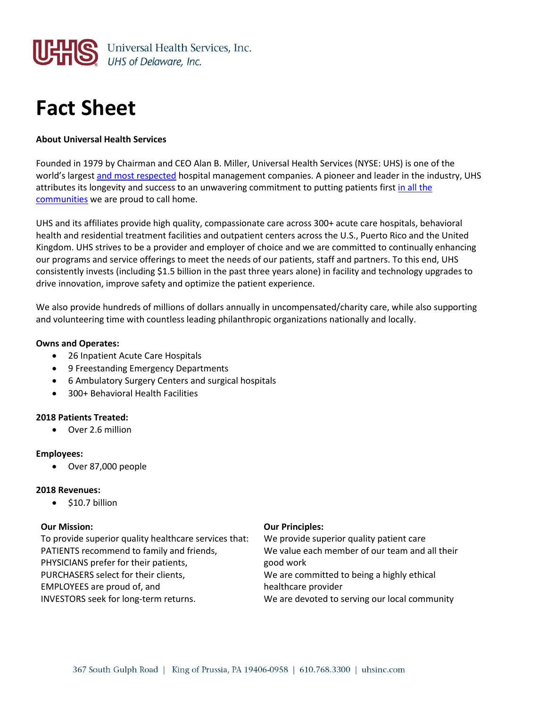

# **Fact Sheet**

### **About Universal Health Services**

Founded in 1979 by Chairman and CEO Alan B. Miller, Universal Health Services (NYSE: UHS) is one of the world's largest [and most respected](https://www.uhsinc.com/about-uhs/awards/) hospital management companies. A pioneer and leader in the industry, UHS attributes its longevity and success to an unwavering commitment to putting patients firs[t in all the](https://www.uhsinc.com/our-communities/)  [communities](https://www.uhsinc.com/our-communities/) we are proud to call home.

UHS and its affiliates provide high quality, compassionate care across 300+ acute care hospitals, behavioral health and residential treatment facilities and outpatient centers across the U.S., Puerto Rico and the United Kingdom. UHS strives to be a provider and employer of choice and we are committed to continually enhancing our programs and service offerings to meet the needs of our patients, staff and partners. To this end, UHS consistently invests (including \$1.5 billion in the past three years alone) in facility and technology upgrades to drive innovation, improve safety and optimize the patient experience.

We also provide hundreds of millions of dollars annually in uncompensated/charity care, while also supporting and volunteering time with countless leading philanthropic organizations nationally and locally.

#### **Owns and Operates:**

- 26 Inpatient Acute Care Hospitals
- 9 Freestanding Emergency Departments
- 6 Ambulatory Surgery Centers and surgical hospitals
- 300+ Behavioral Health Facilities

#### **2018 Patients Treated:**

Over 2.6 million

#### **Employees:**

Over 87,000 people

#### **2018 Revenues:**

 $\bullet$  \$10.7 billion

#### **Our Mission:**

To provide superior quality healthcare services that: PATIENTS recommend to family and friends, PHYSICIANS prefer for their patients, PURCHASERS select for their clients, EMPLOYEES are proud of, and INVESTORS seek for long-term returns.

#### **Our Principles:**

We provide superior quality patient care We value each member of our team and all their good work We are committed to being a highly ethical healthcare provider We are devoted to serving our local community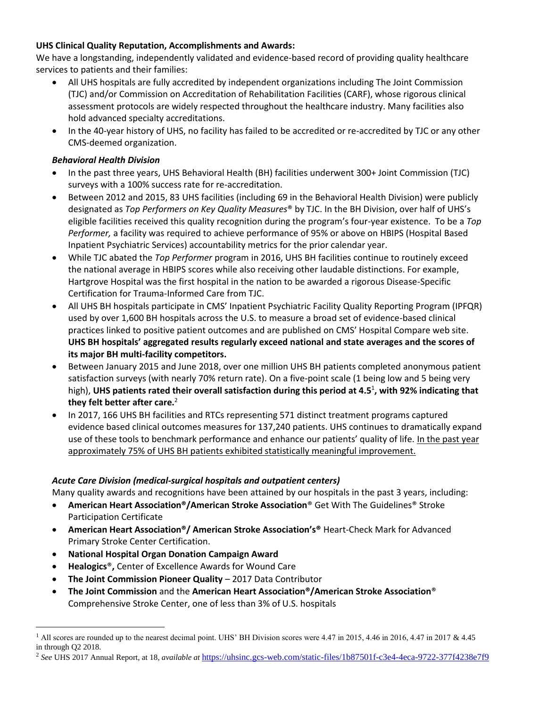## **UHS Clinical Quality Reputation, Accomplishments and Awards:**

We have a longstanding, independently validated and evidence-based record of providing quality healthcare services to patients and their families:

- All UHS hospitals are fully accredited by independent organizations including The Joint Commission (TJC) and/or Commission on Accreditation of Rehabilitation Facilities (CARF), whose rigorous clinical assessment protocols are widely respected throughout the healthcare industry. Many facilities also hold advanced specialty accreditations.
- In the 40-year history of UHS, no facility has failed to be accredited or re-accredited by TJC or any other CMS-deemed organization.

## *Behavioral Health Division*

- In the past three years, UHS Behavioral Health (BH) facilities underwent 300+ Joint Commission (TJC) surveys with a 100% success rate for re-accreditation.
- Between 2012 and 2015, 83 UHS facilities (including 69 in the Behavioral Health Division) were publicly designated as *Top Performers on Key Quality Measures*® by TJC. In the BH Division, over half of UHS's eligible facilities received this quality recognition during the program's four-year existence. To be a *Top Performer,* a facility was required to achieve performance of 95% or above on HBIPS (Hospital Based Inpatient Psychiatric Services) accountability metrics for the prior calendar year.
- While TJC abated the *Top Performer* program in 2016, UHS BH facilities continue to routinely exceed the national average in HBIPS scores while also receiving other laudable distinctions. For example, Hartgrove Hospital was the first hospital in the nation to be awarded a rigorous Disease-Specific Certification for Trauma-Informed Care from TJC.
- All UHS BH hospitals participate in CMS' Inpatient Psychiatric Facility Quality Reporting Program (IPFQR) used by over 1,600 BH hospitals across the U.S. to measure a broad set of evidence-based clinical practices linked to positive patient outcomes and are published on CMS' Hospital Compare web site. **UHS BH hospitals' aggregated results regularly exceed national and state averages and the scores of its major BH multi-facility competitors.**
- Between January 2015 and June 2018, over one million UHS BH patients completed anonymous patient satisfaction surveys (with nearly 70% return rate). On a five-point scale (1 being low and 5 being very high), **UHS patients rated their overall satisfaction during this period at 4.5**<sup>1</sup> **, with 92% indicating that they felt better after care.**<sup>2</sup>
- In 2017, 166 UHS BH facilities and RTCs representing 571 distinct treatment programs captured evidence based clinical outcomes measures for 137,240 patients. UHS continues to dramatically expand use of these tools to benchmark performance and enhance our patients' quality of life. In the past year approximately 75% of UHS BH patients exhibited statistically meaningful improvement.

## *Acute Care Division (medical-surgical hospitals and outpatient centers)*

Many quality awards and recognitions have been attained by our hospitals in the past 3 years, including:

- **American Heart Association®/American Stroke Association**® Get With The Guidelines® Stroke Participation Certificate
- **American Heart Association®/ American Stroke Association's®** Heart-Check Mark for Advanced Primary Stroke Center Certification.
- **National Hospital Organ Donation Campaign Award**

 $\overline{a}$ 

- **Healogics**®**,** Center of Excellence Awards for Wound Care
- **The Joint Commission Pioneer Quality** 2017 Data Contributor
- **The Joint Commission** and the **American Heart Association®/American Stroke Association**® Comprehensive Stroke Center, one of less than 3% of U.S. hospitals

<sup>&</sup>lt;sup>1</sup> All scores are rounded up to the nearest decimal point. UHS' BH Division scores were 4.47 in 2015, 4.46 in 2016, 4.47 in 2017 & 4.45 in through Q2 2018.

<sup>2</sup> *See* UHS 2017 Annual Report, at 18, *available at* <https://uhsinc.gcs-web.com/static-files/1b87501f-c3e4-4eca-9722-377f4238e7f9>